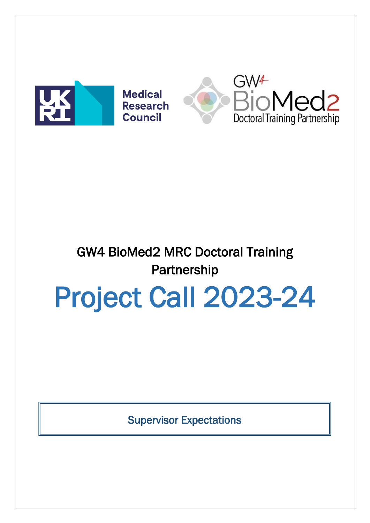



## GW4 BioMed2 MRC Doctoral Training **Partnership**

## Project Call 2023-24

Supervisor Expectations